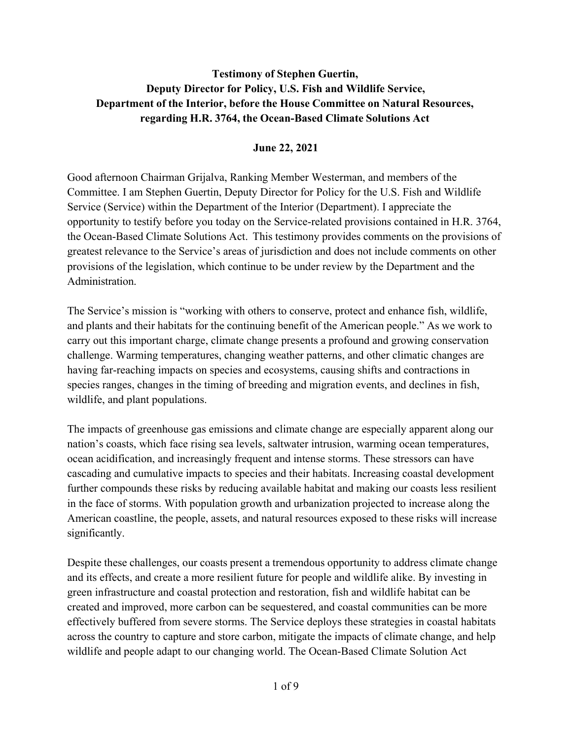# **Testimony of Stephen Guertin, Deputy Director for Policy, U.S. Fish and Wildlife Service, Department of the Interior, before the House Committee on Natural Resources, regarding H.R. 3764, the Ocean-Based Climate Solutions Act**

# **June 22, 2021**

Good afternoon Chairman Grijalva, Ranking Member Westerman, and members of the Committee. I am Stephen Guertin, Deputy Director for Policy for the U.S. Fish and Wildlife Service (Service) within the Department of the Interior (Department). I appreciate the opportunity to testify before you today on the Service-related provisions contained in H.R. 3764, the Ocean-Based Climate Solutions Act. This testimony provides comments on the provisions of greatest relevance to the Service's areas of jurisdiction and does not include comments on other provisions of the legislation, which continue to be under review by the Department and the Administration.

The Service's mission is "working with others to conserve, protect and enhance fish, wildlife, and plants and their habitats for the continuing benefit of the American people." As we work to carry out this important charge, climate change presents a profound and growing conservation challenge. Warming temperatures, changing weather patterns, and other climatic changes are having far-reaching impacts on species and ecosystems, causing shifts and contractions in species ranges, changes in the timing of breeding and migration events, and declines in fish, wildlife, and plant populations.

The impacts of greenhouse gas emissions and climate change are especially apparent along our nation's coasts, which face rising sea levels, saltwater intrusion, warming ocean temperatures, ocean acidification, and increasingly frequent and intense storms. These stressors can have cascading and cumulative impacts to species and their habitats. Increasing coastal development further compounds these risks by reducing available habitat and making our coasts less resilient in the face of storms. With population growth and urbanization projected to increase along the American coastline, the people, assets, and natural resources exposed to these risks will increase significantly.

Despite these challenges, our coasts present a tremendous opportunity to address climate change and its effects, and create a more resilient future for people and wildlife alike. By investing in green infrastructure and coastal protection and restoration, fish and wildlife habitat can be created and improved, more carbon can be sequestered, and coastal communities can be more effectively buffered from severe storms. The Service deploys these strategies in coastal habitats across the country to capture and store carbon, mitigate the impacts of climate change, and help wildlife and people adapt to our changing world. The Ocean-Based Climate Solution Act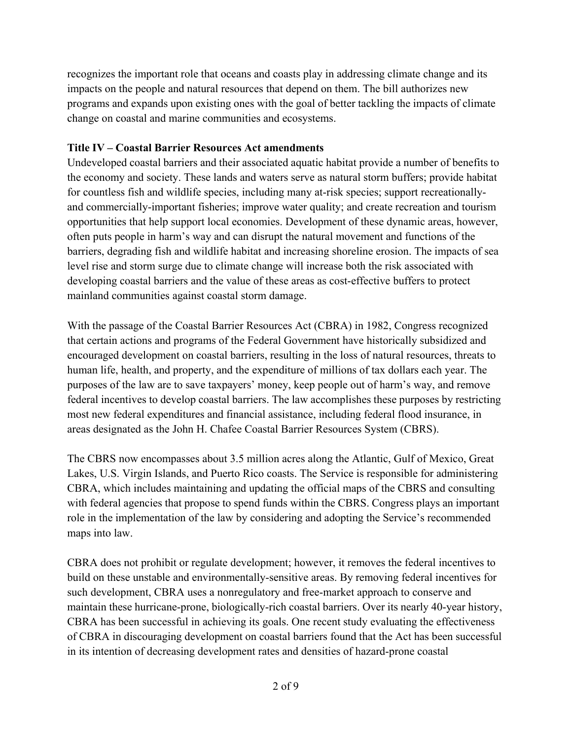recognizes the important role that oceans and coasts play in addressing climate change and its impacts on the people and natural resources that depend on them. The bill authorizes new programs and expands upon existing ones with the goal of better tackling the impacts of climate change on coastal and marine communities and ecosystems.

### **Title IV – Coastal Barrier Resources Act amendments**

Undeveloped coastal barriers and their associated aquatic habitat provide a number of benefits to the economy and society. These lands and waters serve as natural storm buffers; provide habitat for countless fish and wildlife species, including many at-risk species; support recreationallyand commercially-important fisheries; improve water quality; and create recreation and tourism opportunities that help support local economies. Development of these dynamic areas, however, often puts people in harm's way and can disrupt the natural movement and functions of the barriers, degrading fish and wildlife habitat and increasing shoreline erosion. The impacts of sea level rise and storm surge due to climate change will increase both the risk associated with developing coastal barriers and the value of these areas as cost-effective buffers to protect mainland communities against coastal storm damage.

With the passage of the Coastal Barrier Resources Act (CBRA) in 1982, Congress recognized that certain actions and programs of the Federal Government have historically subsidized and encouraged development on coastal barriers, resulting in the loss of natural resources, threats to human life, health, and property, and the expenditure of millions of tax dollars each year. The purposes of the law are to save taxpayers' money, keep people out of harm's way, and remove federal incentives to develop coastal barriers. The law accomplishes these purposes by restricting most new federal expenditures and financial assistance, including federal flood insurance, in areas designated as the John H. Chafee Coastal Barrier Resources System (CBRS).

The CBRS now encompasses about 3.5 million acres along the Atlantic, Gulf of Mexico, Great Lakes, U.S. Virgin Islands, and Puerto Rico coasts. The Service is responsible for administering CBRA, which includes maintaining and updating the official maps of the CBRS and consulting with federal agencies that propose to spend funds within the CBRS. Congress plays an important role in the implementation of the law by considering and adopting the Service's recommended maps into law.

CBRA does not prohibit or regulate development; however, it removes the federal incentives to build on these unstable and environmentally-sensitive areas. By removing federal incentives for such development, CBRA uses a nonregulatory and free-market approach to conserve and maintain these hurricane-prone, biologically-rich coastal barriers. Over its nearly 40-year history, CBRA has been successful in achieving its goals. One recent study evaluating the effectiveness of CBRA in discouraging development on coastal barriers found that the Act has been successful in its intention of decreasing development rates and densities of hazard-prone coastal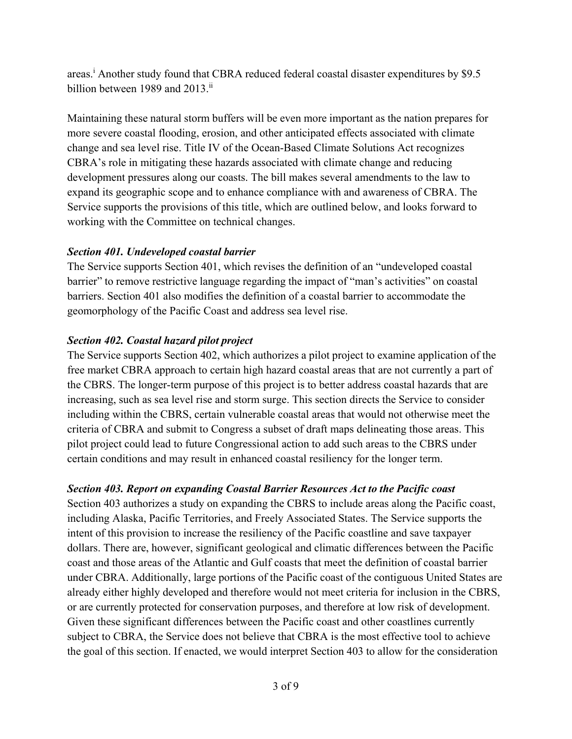areas.i Another study found that CBRA reduced federal coastal disaster expenditures by \$9.5 billion between 1989 and 2013.<sup>ii</sup>

Maintaining these natural storm buffers will be even more important as the nation prepares for more severe coastal flooding, erosion, and other anticipated effects associated with climate change and sea level rise. Title IV of the Ocean-Based Climate Solutions Act recognizes CBRA's role in mitigating these hazards associated with climate change and reducing development pressures along our coasts. The bill makes several amendments to the law to expand its geographic scope and to enhance compliance with and awareness of CBRA. The Service supports the provisions of this title, which are outlined below, and looks forward to working with the Committee on technical changes.

### *Section 401. Undeveloped coastal barrier*

The Service supports Section 401, which revises the definition of an "undeveloped coastal barrier" to remove restrictive language regarding the impact of "man's activities" on coastal barriers. Section 401 also modifies the definition of a coastal barrier to accommodate the geomorphology of the Pacific Coast and address sea level rise.

# *Section 402. Coastal hazard pilot project*

The Service supports Section 402, which authorizes a pilot project to examine application of the free market CBRA approach to certain high hazard coastal areas that are not currently a part of the CBRS. The longer-term purpose of this project is to better address coastal hazards that are increasing, such as sea level rise and storm surge. This section directs the Service to consider including within the CBRS, certain vulnerable coastal areas that would not otherwise meet the criteria of CBRA and submit to Congress a subset of draft maps delineating those areas. This pilot project could lead to future Congressional action to add such areas to the CBRS under certain conditions and may result in enhanced coastal resiliency for the longer term.

# *Section 403. Report on expanding Coastal Barrier Resources Act to the Pacific coast*

Section 403 authorizes a study on expanding the CBRS to include areas along the Pacific coast, including Alaska, Pacific Territories, and Freely Associated States. The Service supports the intent of this provision to increase the resiliency of the Pacific coastline and save taxpayer dollars. There are, however, significant geological and climatic differences between the Pacific coast and those areas of the Atlantic and Gulf coasts that meet the definition of coastal barrier under CBRA. Additionally, large portions of the Pacific coast of the contiguous United States are already either highly developed and therefore would not meet criteria for inclusion in the CBRS, or are currently protected for conservation purposes, and therefore at low risk of development. Given these significant differences between the Pacific coast and other coastlines currently subject to CBRA, the Service does not believe that CBRA is the most effective tool to achieve the goal of this section. If enacted, we would interpret Section 403 to allow for the consideration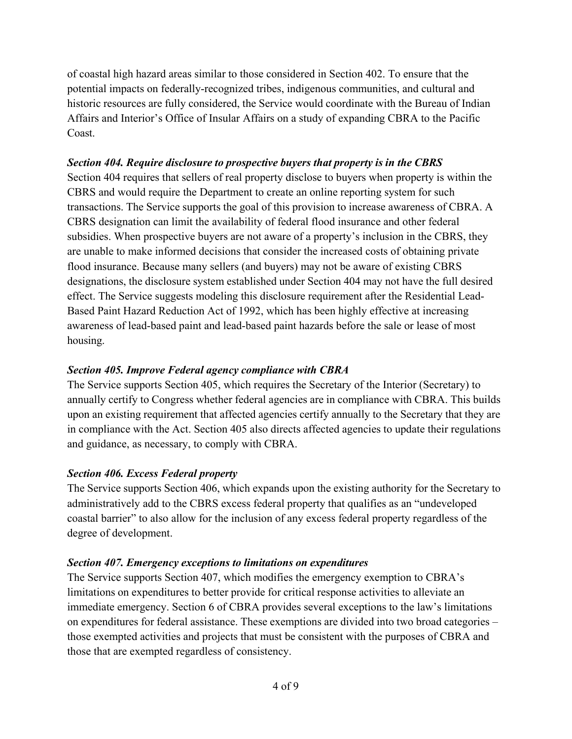of coastal high hazard areas similar to those considered in Section 402. To ensure that the potential impacts on federally-recognized tribes, indigenous communities, and cultural and historic resources are fully considered, the Service would coordinate with the Bureau of Indian Affairs and Interior's Office of Insular Affairs on a study of expanding CBRA to the Pacific Coast.

# *Section 404. Require disclosure to prospective buyers that property is in the CBRS*

Section 404 requires that sellers of real property disclose to buyers when property is within the CBRS and would require the Department to create an online reporting system for such transactions. The Service supports the goal of this provision to increase awareness of CBRA. A CBRS designation can limit the availability of federal flood insurance and other federal subsidies. When prospective buyers are not aware of a property's inclusion in the CBRS, they are unable to make informed decisions that consider the increased costs of obtaining private flood insurance. Because many sellers (and buyers) may not be aware of existing CBRS designations, the disclosure system established under Section 404 may not have the full desired effect. The Service suggests modeling this disclosure requirement after the Residential Lead-Based Paint Hazard Reduction Act of 1992, which has been highly effective at increasing awareness of lead-based paint and lead-based paint hazards before the sale or lease of most housing.

# *Section 405. Improve Federal agency compliance with CBRA*

The Service supports Section 405, which requires the Secretary of the Interior (Secretary) to annually certify to Congress whether federal agencies are in compliance with CBRA. This builds upon an existing requirement that affected agencies certify annually to the Secretary that they are in compliance with the Act. Section 405 also directs affected agencies to update their regulations and guidance, as necessary, to comply with CBRA.

# *Section 406. Excess Federal property*

The Service supports Section 406, which expands upon the existing authority for the Secretary to administratively add to the CBRS excess federal property that qualifies as an "undeveloped coastal barrier" to also allow for the inclusion of any excess federal property regardless of the degree of development.

# *Section 407. Emergency exceptions to limitations on expenditures*

The Service supports Section 407, which modifies the emergency exemption to CBRA's limitations on expenditures to better provide for critical response activities to alleviate an immediate emergency. Section 6 of CBRA provides several exceptions to the law's limitations on expenditures for federal assistance. These exemptions are divided into two broad categories – those exempted activities and projects that must be consistent with the purposes of CBRA and those that are exempted regardless of consistency.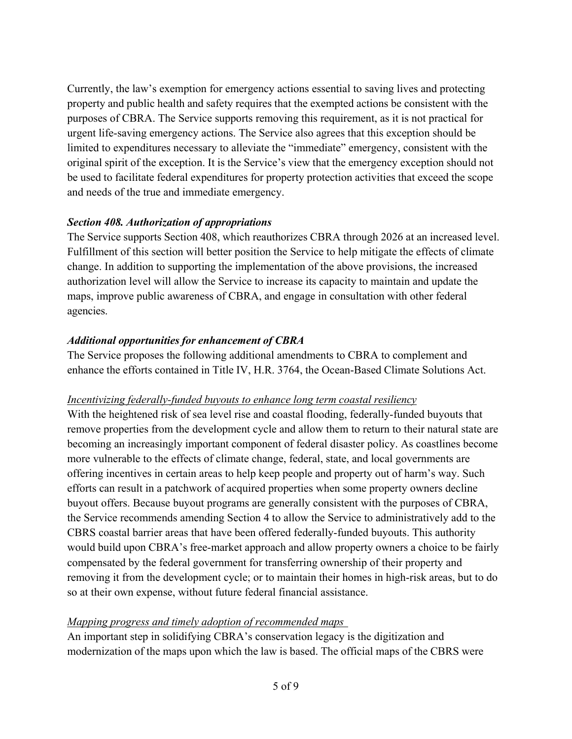Currently, the law's exemption for emergency actions essential to saving lives and protecting property and public health and safety requires that the exempted actions be consistent with the purposes of CBRA. The Service supports removing this requirement, as it is not practical for urgent life-saving emergency actions. The Service also agrees that this exception should be limited to expenditures necessary to alleviate the "immediate" emergency, consistent with the original spirit of the exception. It is the Service's view that the emergency exception should not be used to facilitate federal expenditures for property protection activities that exceed the scope and needs of the true and immediate emergency.

### *Section 408. Authorization of appropriations*

The Service supports Section 408, which reauthorizes CBRA through 2026 at an increased level. Fulfillment of this section will better position the Service to help mitigate the effects of climate change. In addition to supporting the implementation of the above provisions, the increased authorization level will allow the Service to increase its capacity to maintain and update the maps, improve public awareness of CBRA, and engage in consultation with other federal agencies.

### *Additional opportunities for enhancement of CBRA*

The Service proposes the following additional amendments to CBRA to complement and enhance the efforts contained in Title IV, H.R. 3764, the Ocean-Based Climate Solutions Act.

#### *Incentivizing federally-funded buyouts to enhance long term coastal resiliency*

With the heightened risk of sea level rise and coastal flooding, federally-funded buyouts that remove properties from the development cycle and allow them to return to their natural state are becoming an increasingly important component of federal disaster policy. As coastlines become more vulnerable to the effects of climate change, federal, state, and local governments are offering incentives in certain areas to help keep people and property out of harm's way. Such efforts can result in a patchwork of acquired properties when some property owners decline buyout offers. Because buyout programs are generally consistent with the purposes of CBRA, the Service recommends amending Section 4 to allow the Service to administratively add to the CBRS coastal barrier areas that have been offered federally-funded buyouts. This authority would build upon CBRA's free-market approach and allow property owners a choice to be fairly compensated by the federal government for transferring ownership of their property and removing it from the development cycle; or to maintain their homes in high-risk areas, but to do so at their own expense, without future federal financial assistance.

#### *Mapping progress and timely adoption of recommended maps*

An important step in solidifying CBRA's conservation legacy is the digitization and modernization of the maps upon which the law is based. The official maps of the CBRS were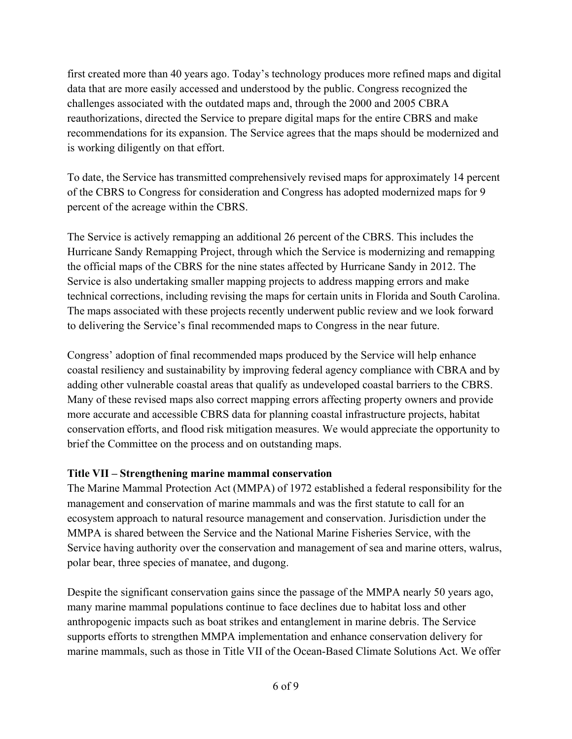first created more than 40 years ago. Today's technology produces more refined maps and digital data that are more easily accessed and understood by the public. Congress recognized the challenges associated with the outdated maps and, through the 2000 and 2005 CBRA reauthorizations, directed the Service to prepare digital maps for the entire CBRS and make recommendations for its expansion. The Service agrees that the maps should be modernized and is working diligently on that effort.

To date, the Service has transmitted comprehensively revised maps for approximately 14 percent of the CBRS to Congress for consideration and Congress has adopted modernized maps for 9 percent of the acreage within the CBRS.

The Service is actively remapping an additional 26 percent of the CBRS. This includes the Hurricane Sandy Remapping Project, through which the Service is modernizing and remapping the official maps of the CBRS for the nine states affected by Hurricane Sandy in 2012. The Service is also undertaking smaller mapping projects to address mapping errors and make technical corrections, including revising the maps for certain units in Florida and South Carolina. The maps associated with these projects recently underwent public review and we look forward to delivering the Service's final recommended maps to Congress in the near future.

Congress' adoption of final recommended maps produced by the Service will help enhance coastal resiliency and sustainability by improving federal agency compliance with CBRA and by adding other vulnerable coastal areas that qualify as undeveloped coastal barriers to the CBRS. Many of these revised maps also correct mapping errors affecting property owners and provide more accurate and accessible CBRS data for planning coastal infrastructure projects, habitat conservation efforts, and flood risk mitigation measures. We would appreciate the opportunity to brief the Committee on the process and on outstanding maps.

# **Title VII – Strengthening marine mammal conservation**

The Marine Mammal Protection Act (MMPA) of 1972 established a federal responsibility for the management and conservation of marine mammals and was the first statute to call for an ecosystem approach to natural resource management and conservation. Jurisdiction under the MMPA is shared between the Service and the National Marine Fisheries Service, with the Service having authority over the conservation and management of sea and marine otters, walrus, polar bear, three species of manatee, and dugong.

Despite the significant conservation gains since the passage of the MMPA nearly 50 years ago, many marine mammal populations continue to face declines due to habitat loss and other anthropogenic impacts such as boat strikes and entanglement in marine debris. The Service supports efforts to strengthen MMPA implementation and enhance conservation delivery for marine mammals, such as those in Title VII of the Ocean-Based Climate Solutions Act. We offer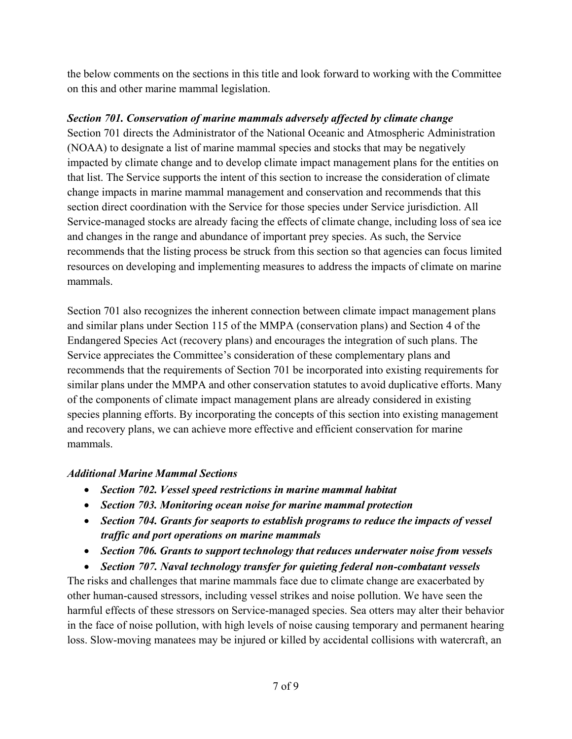the below comments on the sections in this title and look forward to working with the Committee on this and other marine mammal legislation.

### *Section 701. Conservation of marine mammals adversely affected by climate change*

Section 701 directs the Administrator of the National Oceanic and Atmospheric Administration (NOAA) to designate a list of marine mammal species and stocks that may be negatively impacted by climate change and to develop climate impact management plans for the entities on that list. The Service supports the intent of this section to increase the consideration of climate change impacts in marine mammal management and conservation and recommends that this section direct coordination with the Service for those species under Service jurisdiction. All Service-managed stocks are already facing the effects of climate change, including loss of sea ice and changes in the range and abundance of important prey species. As such, the Service recommends that the listing process be struck from this section so that agencies can focus limited resources on developing and implementing measures to address the impacts of climate on marine mammals.

Section 701 also recognizes the inherent connection between climate impact management plans and similar plans under Section 115 of the MMPA (conservation plans) and Section 4 of the Endangered Species Act (recovery plans) and encourages the integration of such plans. The Service appreciates the Committee's consideration of these complementary plans and recommends that the requirements of Section 701 be incorporated into existing requirements for similar plans under the MMPA and other conservation statutes to avoid duplicative efforts. Many of the components of climate impact management plans are already considered in existing species planning efforts. By incorporating the concepts of this section into existing management and recovery plans, we can achieve more effective and efficient conservation for marine mammals.

# *Additional Marine Mammal Sections*

- *Section 702. Vessel speed restrictions in marine mammal habitat*
- *Section 703. Monitoring ocean noise for marine mammal protection*
- *Section 704. Grants for seaports to establish programs to reduce the impacts of vessel traffic and port operations on marine mammals*
- *Section 706. Grants to support technology that reduces underwater noise from vessels*
- *Section 707. Naval technology transfer for quieting federal non-combatant vessels*

The risks and challenges that marine mammals face due to climate change are exacerbated by other human-caused stressors, including vessel strikes and noise pollution. We have seen the harmful effects of these stressors on Service-managed species. Sea otters may alter their behavior in the face of noise pollution, with high levels of noise causing temporary and permanent hearing loss. Slow-moving manatees may be injured or killed by accidental collisions with watercraft, an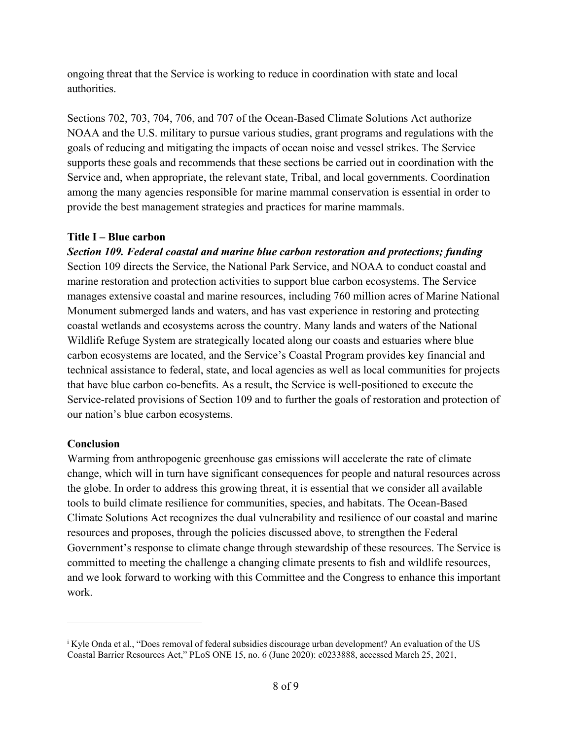ongoing threat that the Service is working to reduce in coordination with state and local authorities.

Sections 702, 703, 704, 706, and 707 of the Ocean-Based Climate Solutions Act authorize NOAA and the U.S. military to pursue various studies, grant programs and regulations with the goals of reducing and mitigating the impacts of ocean noise and vessel strikes. The Service supports these goals and recommends that these sections be carried out in coordination with the Service and, when appropriate, the relevant state, Tribal, and local governments. Coordination among the many agencies responsible for marine mammal conservation is essential in order to provide the best management strategies and practices for marine mammals.

#### **Title I – Blue carbon**

*Section 109. Federal coastal and marine blue carbon restoration and protections; funding*  Section 109 directs the Service, the National Park Service, and NOAA to conduct coastal and marine restoration and protection activities to support blue carbon ecosystems. The Service manages extensive coastal and marine resources, including 760 million acres of Marine National Monument submerged lands and waters, and has vast experience in restoring and protecting coastal wetlands and ecosystems across the country. Many lands and waters of the National Wildlife Refuge System are strategically located along our coasts and estuaries where blue carbon ecosystems are located, and the Service's Coastal Program provides key financial and technical assistance to federal, state, and local agencies as well as local communities for projects that have blue carbon co-benefits. As a result, the Service is well-positioned to execute the Service-related provisions of Section 109 and to further the goals of restoration and protection of our nation's blue carbon ecosystems.

# **Conclusion**

Warming from anthropogenic greenhouse gas emissions will accelerate the rate of climate change, which will in turn have significant consequences for people and natural resources across the globe. In order to address this growing threat, it is essential that we consider all available tools to build climate resilience for communities, species, and habitats. The Ocean-Based Climate Solutions Act recognizes the dual vulnerability and resilience of our coastal and marine resources and proposes, through the policies discussed above, to strengthen the Federal Government's response to climate change through stewardship of these resources. The Service is committed to meeting the challenge a changing climate presents to fish and wildlife resources, and we look forward to working with this Committee and the Congress to enhance this important work.

<sup>&</sup>lt;sup>i</sup> Kyle Onda et al., "Does removal of federal subsidies discourage urban development? An evaluation of the US Coastal Barrier Resources Act," PLoS ONE 15, no. 6 (June 2020): e0233888, accessed March 25, 2021,